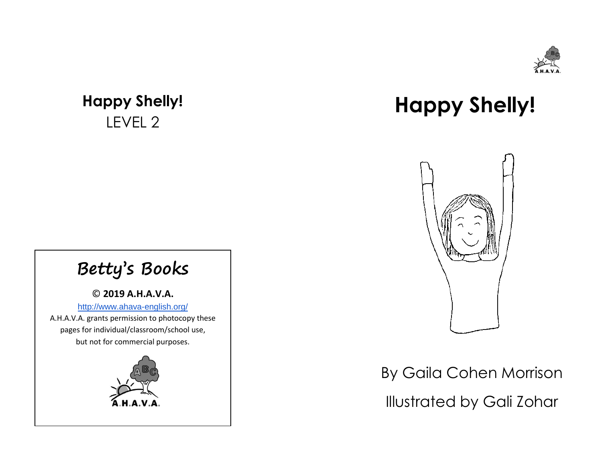

## **Happy Shelly!** LEVEL 2

## **Happy Shelly!**



## By Gaila Cohen Morrison Illustrated by Gali Zohar

## **Betty's Books**

© **2019 A.H.A.V.A.** [http://www.ahava-english.org/](http://ahavaorg.wix.com/ahava) A.H.A.V.A. grants permission to photocopy these pages for individual/classroom/school use, but not for commercial purposes.

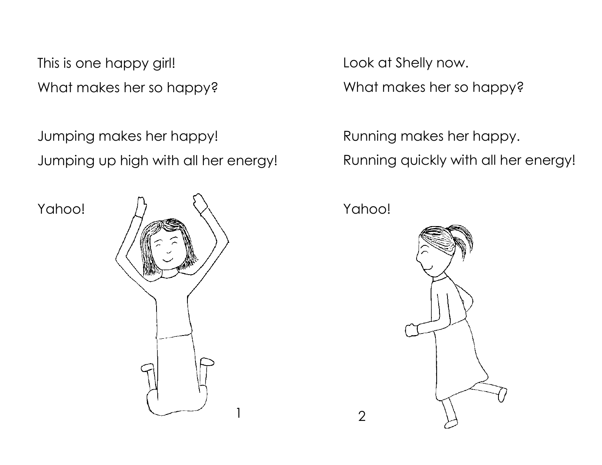This is one happy girl! What makes her so happy?

Jumping makes her happy! Jumping up high with all her energy!

Yahoo!



Look at Shelly now. What makes her so happy?

Running makes her happy. Running quickly with all her energy!

Yahoo!

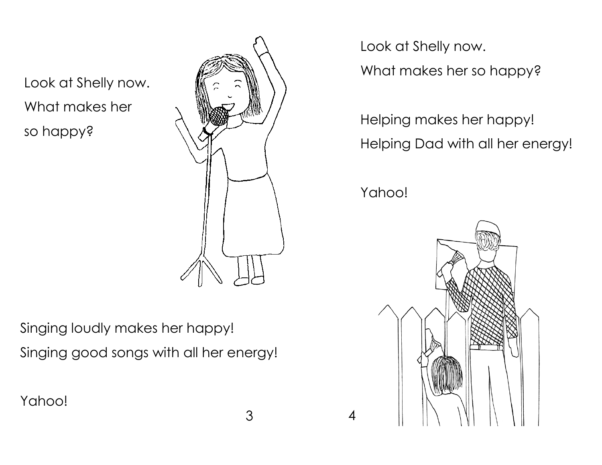Look at Shelly now. What makes her so happy?



3 4

Singing loudly makes her happy! Singing good songs with all her energy!

Yahoo!

Look at Shelly now.

What makes her so happy?

Helping makes her happy! Helping Dad with all her energy!

Yahoo!

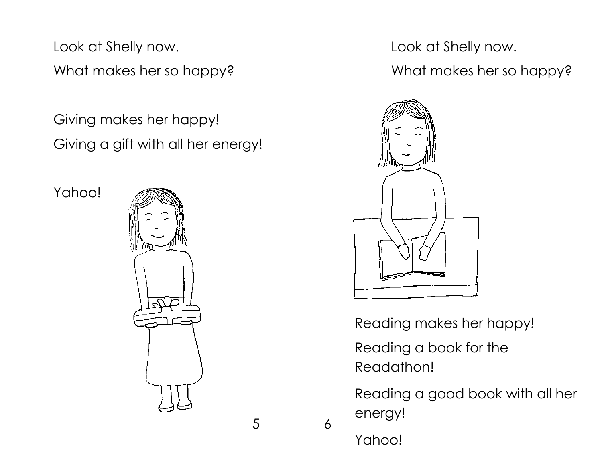Look at Shelly now.

What makes her so happy?

Giving makes her happy! Giving a gift with all her energy!

Yahoo!



Look at Shelly now.

What makes her so happy?



Reading makes her happy!

Reading a book for the Readathon!

Reading a good book with all her energy!

Yahoo!